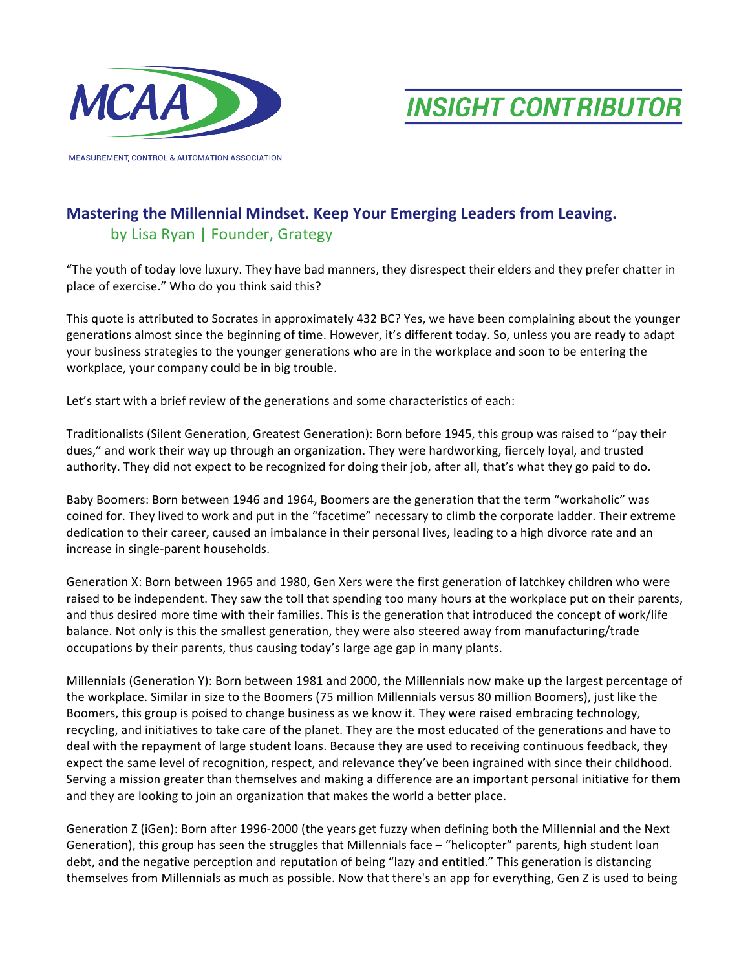

**MEASUREMENT, CONTROL & AUTOMATION ASSOCIATION** 

**INSIGHT CONTRIBUTOR** 

## **Mastering the Millennial Mindset. Keep Your Emerging Leaders from Leaving.** by Lisa Ryan | Founder, Grategy

"The youth of today love luxury. They have bad manners, they disrespect their elders and they prefer chatter in place of exercise." Who do you think said this?

This quote is attributed to Socrates in approximately 432 BC? Yes, we have been complaining about the younger generations almost since the beginning of time. However, it's different today. So, unless you are ready to adapt your business strategies to the younger generations who are in the workplace and soon to be entering the workplace, your company could be in big trouble.

Let's start with a brief review of the generations and some characteristics of each:

Traditionalists (Silent Generation, Greatest Generation): Born before 1945, this group was raised to "pay their dues," and work their way up through an organization. They were hardworking, fiercely loyal, and trusted authority. They did not expect to be recognized for doing their job, after all, that's what they go paid to do.

Baby Boomers: Born between 1946 and 1964, Boomers are the generation that the term "workaholic" was coined for. They lived to work and put in the "facetime" necessary to climb the corporate ladder. Their extreme dedication to their career, caused an imbalance in their personal lives, leading to a high divorce rate and an increase in single-parent households.

Generation X: Born between 1965 and 1980, Gen Xers were the first generation of latchkey children who were raised to be independent. They saw the toll that spending too many hours at the workplace put on their parents, and thus desired more time with their families. This is the generation that introduced the concept of work/life balance. Not only is this the smallest generation, they were also steered away from manufacturing/trade occupations by their parents, thus causing today's large age gap in many plants.

Millennials (Generation Y): Born between 1981 and 2000, the Millennials now make up the largest percentage of the workplace. Similar in size to the Boomers (75 million Millennials versus 80 million Boomers), just like the Boomers, this group is poised to change business as we know it. They were raised embracing technology, recycling, and initiatives to take care of the planet. They are the most educated of the generations and have to deal with the repayment of large student loans. Because they are used to receiving continuous feedback, they expect the same level of recognition, respect, and relevance they've been ingrained with since their childhood. Serving a mission greater than themselves and making a difference are an important personal initiative for them and they are looking to join an organization that makes the world a better place.

Generation Z (iGen): Born after 1996-2000 (the years get fuzzy when defining both the Millennial and the Next Generation), this group has seen the struggles that Millennials face  $-$  "helicopter" parents, high student loan debt, and the negative perception and reputation of being "lazy and entitled." This generation is distancing themselves from Millennials as much as possible. Now that there's an app for everything, Gen Z is used to being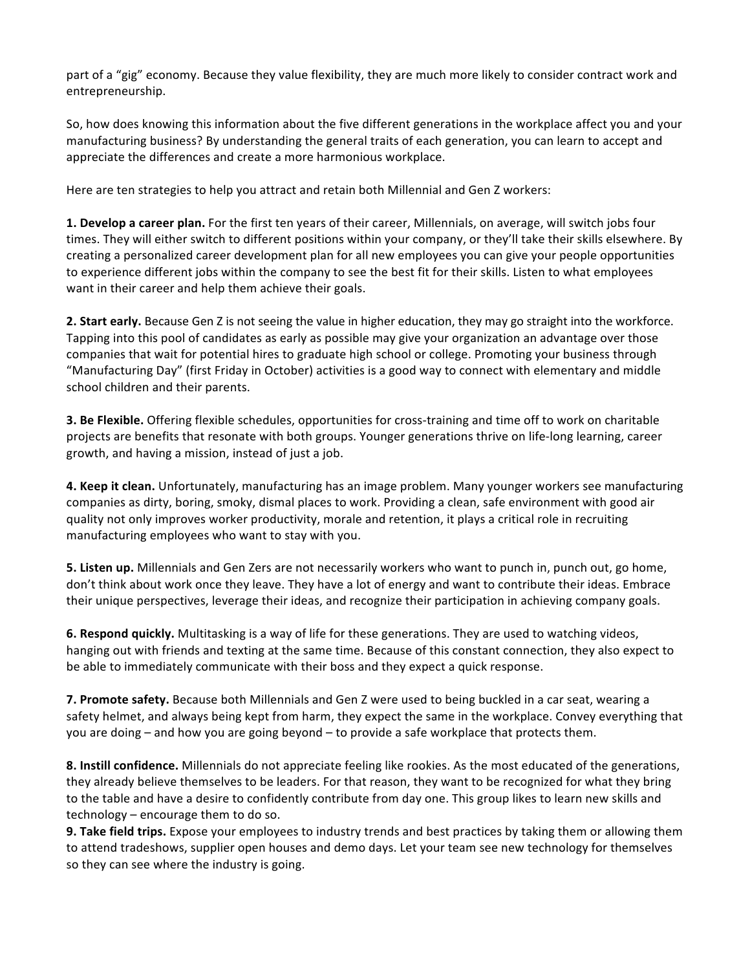part of a "gig" economy. Because they value flexibility, they are much more likely to consider contract work and entrepreneurship.

So, how does knowing this information about the five different generations in the workplace affect you and your manufacturing business? By understanding the general traits of each generation, you can learn to accept and appreciate the differences and create a more harmonious workplace.

Here are ten strategies to help you attract and retain both Millennial and Gen Z workers:

**1.** Develop a career plan. For the first ten years of their career, Millennials, on average, will switch jobs four times. They will either switch to different positions within your company, or they'll take their skills elsewhere. By creating a personalized career development plan for all new employees you can give your people opportunities to experience different jobs within the company to see the best fit for their skills. Listen to what employees want in their career and help them achieve their goals.

**2. Start early.** Because Gen Z is not seeing the value in higher education, they may go straight into the workforce. Tapping into this pool of candidates as early as possible may give your organization an advantage over those companies that wait for potential hires to graduate high school or college. Promoting your business through "Manufacturing Day" (first Friday in October) activities is a good way to connect with elementary and middle school children and their parents.

**3. Be Flexible.** Offering flexible schedules, opportunities for cross-training and time off to work on charitable projects are benefits that resonate with both groups. Younger generations thrive on life-long learning, career growth, and having a mission, instead of just a job.

4. Keep it clean. Unfortunately, manufacturing has an image problem. Many younger workers see manufacturing companies as dirty, boring, smoky, dismal places to work. Providing a clean, safe environment with good air quality not only improves worker productivity, morale and retention, it plays a critical role in recruiting manufacturing employees who want to stay with you.

**5. Listen up.** Millennials and Gen Zers are not necessarily workers who want to punch in, punch out, go home, don't think about work once they leave. They have a lot of energy and want to contribute their ideas. Embrace their unique perspectives, leverage their ideas, and recognize their participation in achieving company goals.

**6. Respond quickly.** Multitasking is a way of life for these generations. They are used to watching videos, hanging out with friends and texting at the same time. Because of this constant connection, they also expect to be able to immediately communicate with their boss and they expect a quick response.

**7. Promote safety.** Because both Millennials and Gen Z were used to being buckled in a car seat, wearing a safety helmet, and always being kept from harm, they expect the same in the workplace. Convey everything that you are doing – and how you are going beyond – to provide a safe workplace that protects them.

**8.** Instill confidence. Millennials do not appreciate feeling like rookies. As the most educated of the generations, they already believe themselves to be leaders. For that reason, they want to be recognized for what they bring to the table and have a desire to confidently contribute from day one. This group likes to learn new skills and technology  $-$  encourage them to do so.

**9. Take field trips.** Expose your employees to industry trends and best practices by taking them or allowing them to attend tradeshows, supplier open houses and demo days. Let your team see new technology for themselves so they can see where the industry is going.